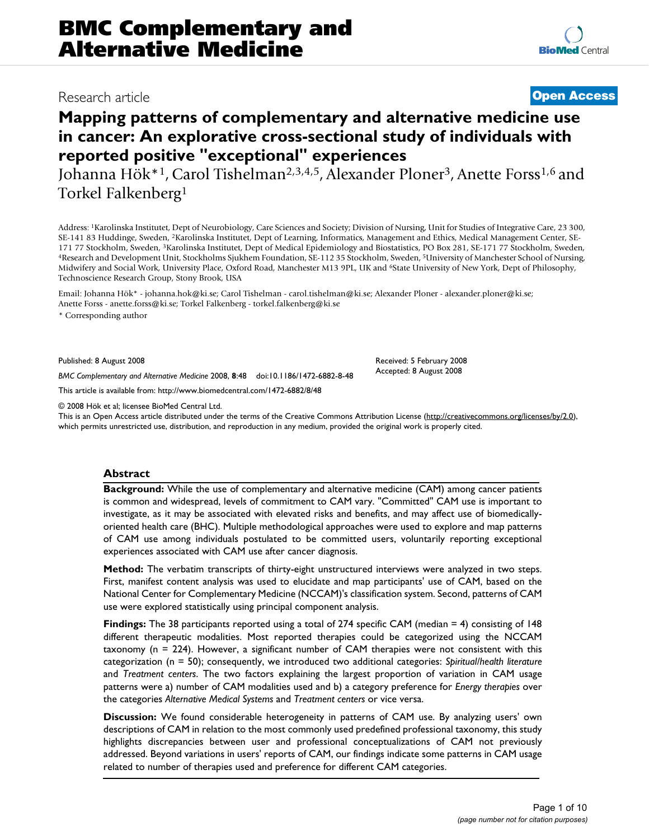# Research article **[Open Access](http://www.biomedcentral.com/info/about/charter/)**

# **Mapping patterns of complementary and alternative medicine use in cancer: An explorative cross-sectional study of individuals with reported positive "exceptional" experiences**

Johanna Hök\*<sup>1</sup>, Carol Tishelman<sup>2,3,4,5</sup>, Alexander Ploner<sup>3</sup>, Anette Forss<sup>1,6</sup> and Torkel Falkenberg1

Address: 1Karolinska Institutet, Dept of Neurobiology, Care Sciences and Society; Division of Nursing, Unit for Studies of Integrative Care, 23 300, SE-141 83 Huddinge, Sweden, 2Karolinska Institutet, Dept of Learning, Informatics, Management and Ethics, Medical Management Center, SE-171 77 Stockholm, Sweden, <sup>3</sup>Karolinska Institutet, Dept of Medical Epidemiology and Biostatistics, PO Box 281, SE-171 77 Stockholm, Sweden, 4Research and Development Unit, Stockholms Sjukhem Foundation, SE-112 35 Stockhol Midwifery and Social Work, University Place, Oxford Road, Manchester M13 9PL, UK and <sup>6</sup>State University of New York, Dept of Philosophy, Technoscience Research Group, Stony Brook, USA

Email: Johanna Hök\* - johanna.hok@ki.se; Carol Tishelman - carol.tishelman@ki.se; Alexander Ploner - alexander.ploner@ki.se; Anette Forss - anette.forss@ki.se; Torkel Falkenberg - torkel.falkenberg@ki.se

\* Corresponding author

Published: 8 August 2008

*BMC Complementary and Alternative Medicine* 2008, **8**:48 doi:10.1186/1472-6882-8-48

[This article is available from: http://www.biomedcentral.com/1472-6882/8/48](http://www.biomedcentral.com/1472-6882/8/48)

© 2008 Hök et al; licensee BioMed Central Ltd.

This is an Open Access article distributed under the terms of the Creative Commons Attribution License [\(http://creativecommons.org/licenses/by/2.0\)](http://creativecommons.org/licenses/by/2.0), which permits unrestricted use, distribution, and reproduction in any medium, provided the original work is properly cited.

### **Abstract**

**Background:** While the use of complementary and alternative medicine (CAM) among cancer patients is common and widespread, levels of commitment to CAM vary. "Committed" CAM use is important to investigate, as it may be associated with elevated risks and benefits, and may affect use of biomedicallyoriented health care (BHC). Multiple methodological approaches were used to explore and map patterns of CAM use among individuals postulated to be committed users, voluntarily reporting exceptional experiences associated with CAM use after cancer diagnosis.

**Method:** The verbatim transcripts of thirty-eight unstructured interviews were analyzed in two steps. First, manifest content analysis was used to elucidate and map participants' use of CAM, based on the National Center for Complementary Medicine (NCCAM)'s classification system. Second, patterns of CAM use were explored statistically using principal component analysis.

**Findings:** The 38 participants reported using a total of 274 specific CAM (median = 4) consisting of 148 different therapeutic modalities. Most reported therapies could be categorized using the NCCAM taxonomy (n = 224). However, a significant number of CAM therapies were not consistent with this categorization (n = 50); consequently, we introduced two additional categories: *Spiritual/health literature* and *Treatment centers*. The two factors explaining the largest proportion of variation in CAM usage patterns were a) number of CAM modalities used and b) a category preference for *Energy therapies* over the categories *Alternative Medical Systems* and *Treatment centers* or vice versa.

**Discussion:** We found considerable heterogeneity in patterns of CAM use. By analyzing users' own descriptions of CAM in relation to the most commonly used predefined professional taxonomy, this study highlights discrepancies between user and professional conceptualizations of CAM not previously addressed. Beyond variations in users' reports of CAM, our findings indicate some patterns in CAM usage related to number of therapies used and preference for different CAM categories.

Received: 5 February 2008 Accepted: 8 August 2008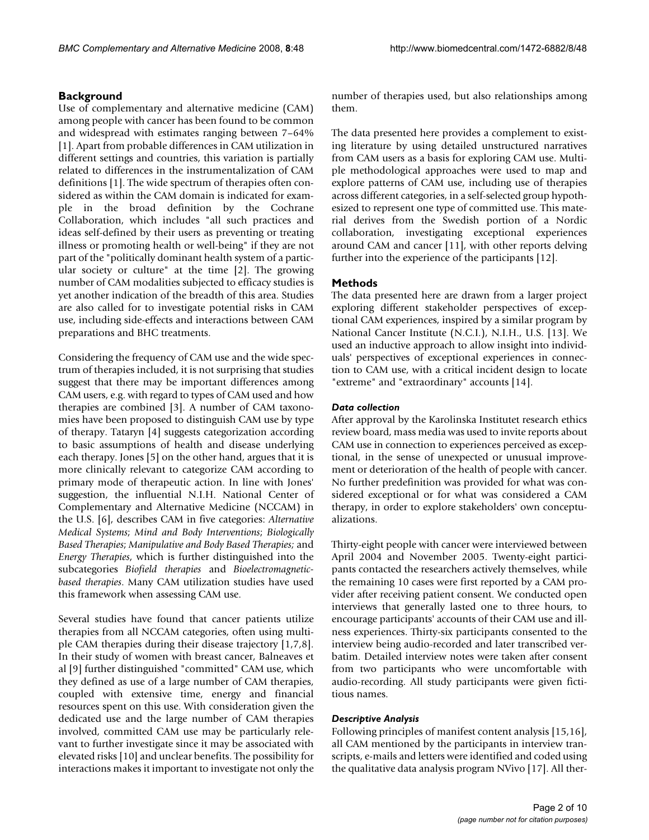# **Background**

Use of complementary and alternative medicine (CAM) among people with cancer has been found to be common and widespread with estimates ranging between 7–64% [1]. Apart from probable differences in CAM utilization in different settings and countries, this variation is partially related to differences in the instrumentalization of CAM definitions [1]. The wide spectrum of therapies often considered as within the CAM domain is indicated for example in the broad definition by the Cochrane Collaboration, which includes "all such practices and ideas self-defined by their users as preventing or treating illness or promoting health or well-being" if they are not part of the "politically dominant health system of a particular society or culture" at the time [2]. The growing number of CAM modalities subjected to efficacy studies is yet another indication of the breadth of this area. Studies are also called for to investigate potential risks in CAM use, including side-effects and interactions between CAM preparations and BHC treatments.

Considering the frequency of CAM use and the wide spectrum of therapies included, it is not surprising that studies suggest that there may be important differences among CAM users, e.g. with regard to types of CAM used and how therapies are combined [3]. A number of CAM taxonomies have been proposed to distinguish CAM use by type of therapy. Tataryn [4] suggests categorization according to basic assumptions of health and disease underlying each therapy. Jones [5] on the other hand, argues that it is more clinically relevant to categorize CAM according to primary mode of therapeutic action. In line with Jones' suggestion, the influential N.I.H. National Center of Complementary and Alternative Medicine (NCCAM) in the U.S. [6], describes CAM in five categories: *Alternative Medical Systems*; *Mind and Body Interventions*; *Biologically Based Therapies*; *Manipulative and Body Based Therapies;* and *Energy Therapies*, which is further distinguished into the subcategories *Biofield therapies* and *Bioelectromagneticbased therapies*. Many CAM utilization studies have used this framework when assessing CAM use.

Several studies have found that cancer patients utilize therapies from all NCCAM categories, often using multiple CAM therapies during their disease trajectory [1,7,8]. In their study of women with breast cancer, Balneaves et al [9] further distinguished "committed" CAM use, which they defined as use of a large number of CAM therapies, coupled with extensive time, energy and financial resources spent on this use. With consideration given the dedicated use and the large number of CAM therapies involved, committed CAM use may be particularly relevant to further investigate since it may be associated with elevated risks [10] and unclear benefits. The possibility for interactions makes it important to investigate not only the number of therapies used, but also relationships among them.

The data presented here provides a complement to existing literature by using detailed unstructured narratives from CAM users as a basis for exploring CAM use. Multiple methodological approaches were used to map and explore patterns of CAM use, including use of therapies across different categories, in a self-selected group hypothesized to represent one type of committed use. This material derives from the Swedish portion of a Nordic collaboration, investigating exceptional experiences around CAM and cancer [11], with other reports delving further into the experience of the participants [12].

# **Methods**

The data presented here are drawn from a larger project exploring different stakeholder perspectives of exceptional CAM experiences, inspired by a similar program by National Cancer Institute (N.C.I.), N.I.H., U.S. [13]. We used an inductive approach to allow insight into individuals' perspectives of exceptional experiences in connection to CAM use, with a critical incident design to locate "extreme" and "extraordinary" accounts [14].

### *Data collection*

After approval by the Karolinska Institutet research ethics review board, mass media was used to invite reports about CAM use in connection to experiences perceived as exceptional, in the sense of unexpected or unusual improvement or deterioration of the health of people with cancer. No further predefinition was provided for what was considered exceptional or for what was considered a CAM therapy, in order to explore stakeholders' own conceptualizations.

Thirty-eight people with cancer were interviewed between April 2004 and November 2005. Twenty-eight participants contacted the researchers actively themselves, while the remaining 10 cases were first reported by a CAM provider after receiving patient consent. We conducted open interviews that generally lasted one to three hours, to encourage participants' accounts of their CAM use and illness experiences. Thirty-six participants consented to the interview being audio-recorded and later transcribed verbatim. Detailed interview notes were taken after consent from two participants who were uncomfortable with audio-recording. All study participants were given fictitious names.

### *Descriptive Analysis*

Following principles of manifest content analysis [15,16], all CAM mentioned by the participants in interview transcripts, e-mails and letters were identified and coded using the qualitative data analysis program NVivo [17]. All ther-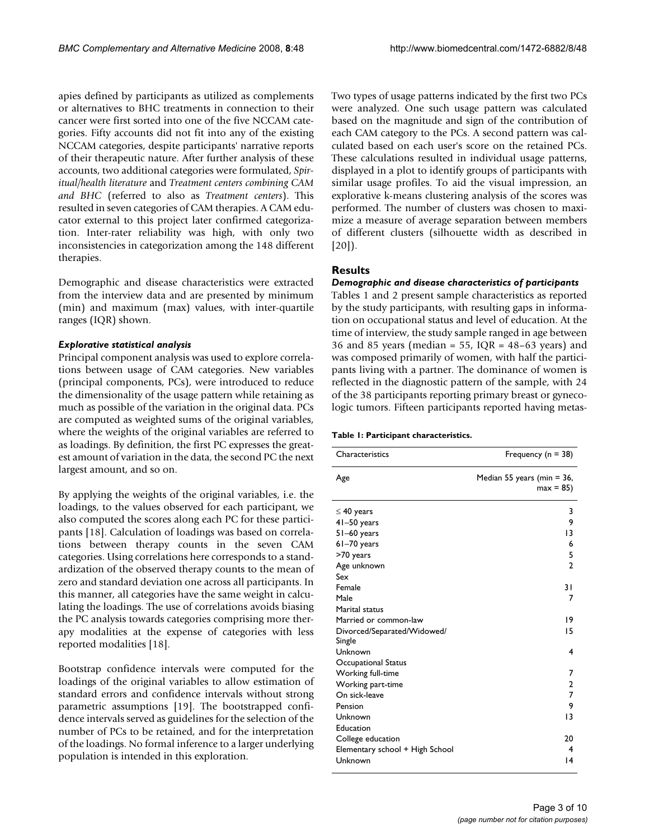apies defined by participants as utilized as complements or alternatives to BHC treatments in connection to their cancer were first sorted into one of the five NCCAM categories. Fifty accounts did not fit into any of the existing NCCAM categories, despite participants' narrative reports of their therapeutic nature. After further analysis of these accounts, two additional categories were formulated, *Spiritual/health literature* and *Treatment centers combining CAM and BHC* (referred to also as *Treatment centers*). This resulted in seven categories of CAM therapies. A CAM educator external to this project later confirmed categorization. Inter-rater reliability was high, with only two inconsistencies in categorization among the 148 different therapies.

Demographic and disease characteristics were extracted from the interview data and are presented by minimum (min) and maximum (max) values, with inter-quartile ranges (IQR) shown.

### *Explorative statistical analysis*

Principal component analysis was used to explore correlations between usage of CAM categories. New variables (principal components, PCs), were introduced to reduce the dimensionality of the usage pattern while retaining as much as possible of the variation in the original data. PCs are computed as weighted sums of the original variables, where the weights of the original variables are referred to as loadings. By definition, the first PC expresses the greatest amount of variation in the data, the second PC the next largest amount, and so on.

By applying the weights of the original variables, i.e. the loadings, to the values observed for each participant, we also computed the scores along each PC for these participants [18]. Calculation of loadings was based on correlations between therapy counts in the seven CAM categories. Using correlations here corresponds to a standardization of the observed therapy counts to the mean of zero and standard deviation one across all participants. In this manner, all categories have the same weight in calculating the loadings. The use of correlations avoids biasing the PC analysis towards categories comprising more therapy modalities at the expense of categories with less reported modalities [18].

Bootstrap confidence intervals were computed for the loadings of the original variables to allow estimation of standard errors and confidence intervals without strong parametric assumptions [19]. The bootstrapped confidence intervals served as guidelines for the selection of the number of PCs to be retained, and for the interpretation of the loadings. No formal inference to a larger underlying population is intended in this exploration.

Two types of usage patterns indicated by the first two PCs were analyzed. One such usage pattern was calculated based on the magnitude and sign of the contribution of each CAM category to the PCs. A second pattern was calculated based on each user's score on the retained PCs. These calculations resulted in individual usage patterns, displayed in a plot to identify groups of participants with similar usage profiles. To aid the visual impression, an explorative k-means clustering analysis of the scores was performed. The number of clusters was chosen to maximize a measure of average separation between members of different clusters (silhouette width as described in  $[20]$ ).

# **Results**

# *Demographic and disease characteristics of participants*

Tables 1 and 2 present sample characteristics as reported by the study participants, with resulting gaps in information on occupational status and level of education. At the time of interview, the study sample ranged in age between 36 and 85 years (median =  $55$ , IQR =  $48-63$  years) and was composed primarily of women, with half the participants living with a partner. The dominance of women is reflected in the diagnostic pattern of the sample, with 24 of the 38 participants reporting primary breast or gynecologic tumors. Fifteen participants reported having metas-

#### **Table 1: Participant characteristics.**

| Characteristics                       | Frequency ( $n = 38$ )                     |
|---------------------------------------|--------------------------------------------|
| Age                                   | Median 55 years (min $=$ 36,<br>$max = 85$ |
| $\leq 40$ years                       | 3                                          |
| $41-50$ years                         | 9                                          |
| $51-60$ years                         | 13                                         |
| $61-70$ years                         | 6                                          |
| >70 years                             | 5                                          |
| Age unknown                           | $\overline{2}$                             |
| Sex                                   |                                            |
| Female                                | 31                                         |
| Male                                  | 7                                          |
| Marital status                        |                                            |
| Married or common-law                 | 19                                         |
| Divorced/Separated/Widowed/<br>Single | 15                                         |
| Unknown                               | 4                                          |
| Occupational Status                   |                                            |
| Working full-time                     | 7                                          |
| Working part-time                     | $\overline{2}$                             |
| On sick-leave                         | $\overline{7}$                             |
| Pension                               | 9                                          |
| Unknown                               | 13                                         |
| Education                             |                                            |
| College education                     | 20                                         |
| Elementary school + High School       | 4                                          |
| Unknown                               | 14                                         |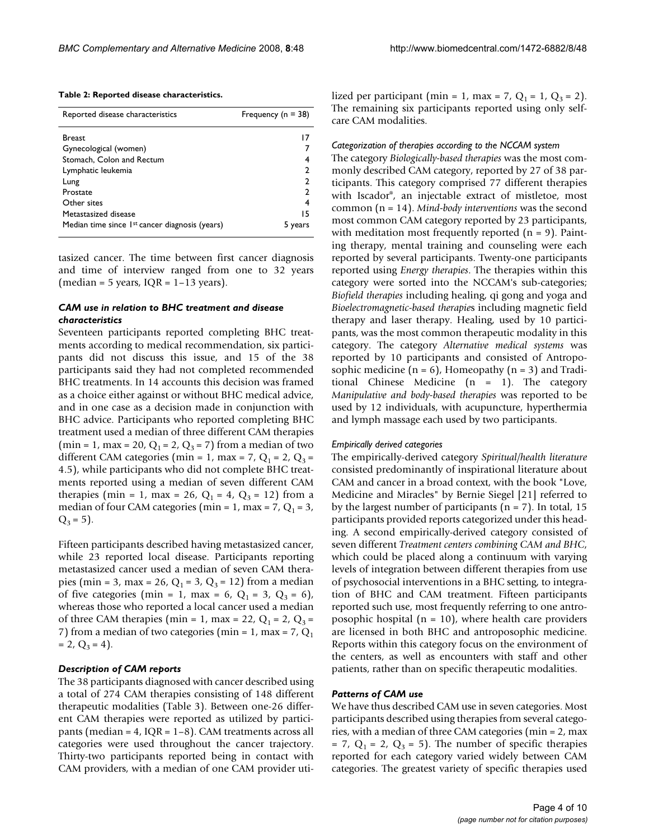#### **Table 2: Reported disease characteristics.**

| Reported disease characteristics                           | Frequency ( $n = 38$ ) |
|------------------------------------------------------------|------------------------|
| <b>Breast</b>                                              |                        |
| Gynecological (women)                                      |                        |
| Stomach, Colon and Rectum                                  |                        |
| Lymphatic leukemia                                         | 2                      |
| Lung                                                       | າ                      |
| Prostate                                                   | າ                      |
| Other sites                                                | 4                      |
| Metastasized disease                                       | 15                     |
| Median time since 1 <sup>st</sup> cancer diagnosis (years) | 5 years                |

tasized cancer. The time between first cancer diagnosis and time of interview ranged from one to 32 years (median = 5 years,  $IQR = 1-13$  years).

#### *CAM use in relation to BHC treatment and disease characteristics*

Seventeen participants reported completing BHC treatments according to medical recommendation, six participants did not discuss this issue, and 15 of the 38 participants said they had not completed recommended BHC treatments. In 14 accounts this decision was framed as a choice either against or without BHC medical advice, and in one case as a decision made in conjunction with BHC advice. Participants who reported completing BHC treatment used a median of three different CAM therapies (min = 1, max = 20,  $Q_1$  = 2,  $Q_3$  = 7) from a median of two different CAM categories (min = 1, max = 7,  $Q_1$  = 2,  $Q_3$  = 4.5), while participants who did not complete BHC treatments reported using a median of seven different CAM therapies (min = 1, max = 26,  $Q_1$  = 4,  $Q_3$  = 12) from a median of four CAM categories (min = 1, max = 7,  $Q_1$  = 3,  $Q_3 = 5$ ).

Fifteen participants described having metastasized cancer, while 23 reported local disease. Participants reporting metastasized cancer used a median of seven CAM therapies (min = 3, max = 26,  $Q_1$  = 3,  $Q_3$  = 12) from a median of five categories (min = 1, max = 6,  $Q_1 = 3$ ,  $Q_3 = 6$ ), whereas those who reported a local cancer used a median of three CAM therapies (min = 1, max = 22,  $Q_1$  = 2,  $Q_3$  = 7) from a median of two categories (min = 1, max = 7,  $Q_1$  $= 2, Q_3 = 4$ .

#### *Description of CAM reports*

The 38 participants diagnosed with cancer described using a total of 274 CAM therapies consisting of 148 different therapeutic modalities (Table 3). Between one-26 different CAM therapies were reported as utilized by participants (median =  $4$ , IQR =  $1-8$ ). CAM treatments across all categories were used throughout the cancer trajectory. Thirty-two participants reported being in contact with CAM providers, with a median of one CAM provider utilized per participant (min = 1, max = 7,  $Q_1$  = 1,  $Q_3$  = 2). The remaining six participants reported using only selfcare CAM modalities.

#### *Categorization of therapies according to the NCCAM system*

The category *Biologically-based therapies* was the most commonly described CAM category, reported by 27 of 38 participants. This category comprised 77 different therapies with Iscador®, an injectable extract of mistletoe, most common (n = 14). *Mind-body interventions* was the second most common CAM category reported by 23 participants, with meditation most frequently reported  $(n = 9)$ . Painting therapy, mental training and counseling were each reported by several participants. Twenty-one participants reported using *Energy therapies*. The therapies within this category were sorted into the NCCAM's sub-categories; *Biofield therapies* including healing, qi gong and yoga and *Bioelectromagnetic-based therapie*s including magnetic field therapy and laser therapy. Healing, used by 10 participants, was the most common therapeutic modality in this category. The category *Alternative medical systems* was reported by 10 participants and consisted of Antroposophic medicine  $(n = 6)$ , Homeopathy  $(n = 3)$  and Traditional Chinese Medicine  $(n = 1)$ . The category *Manipulative and body-based therapies* was reported to be used by 12 individuals, with acupuncture, hyperthermia and lymph massage each used by two participants.

#### *Empirically derived categories*

The empirically-derived category *Spiritual/health literature* consisted predominantly of inspirational literature about CAM and cancer in a broad context, with the book "Love, Medicine and Miracles" by Bernie Siegel [21] referred to by the largest number of participants ( $n = 7$ ). In total, 15 participants provided reports categorized under this heading. A second empirically-derived category consisted of seven different *Treatment centers combining CAM and BHC*, which could be placed along a continuum with varying levels of integration between different therapies from use of psychosocial interventions in a BHC setting, to integration of BHC and CAM treatment. Fifteen participants reported such use, most frequently referring to one antroposophic hospital ( $n = 10$ ), where health care providers are licensed in both BHC and antroposophic medicine. Reports within this category focus on the environment of the centers, as well as encounters with staff and other patients, rather than on specific therapeutic modalities.

#### *Patterns of CAM use*

We have thus described CAM use in seven categories. Most participants described using therapies from several categories, with a median of three CAM categories (min = 2, max = 7,  $Q_1$  = 2,  $Q_3$  = 5). The number of specific therapies reported for each category varied widely between CAM categories. The greatest variety of specific therapies used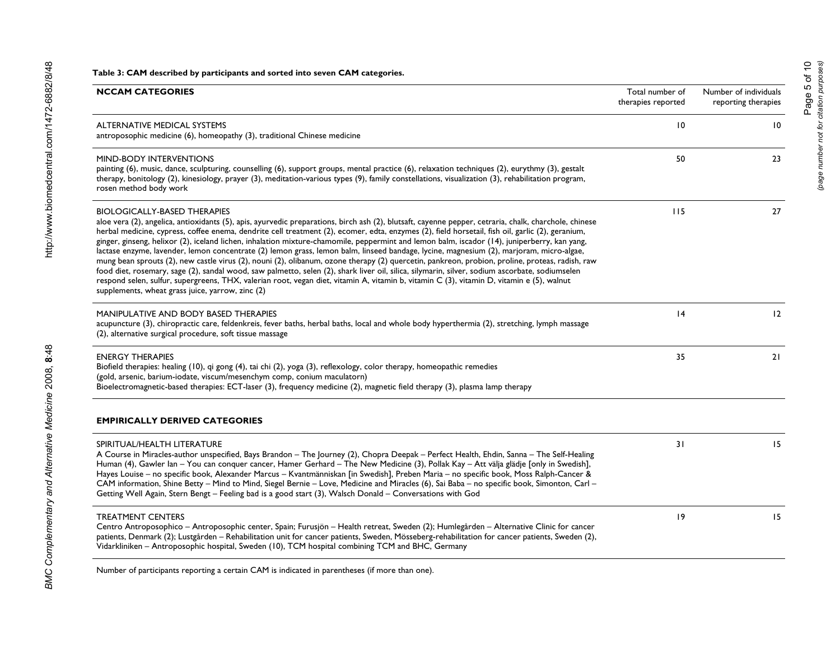#### **Table 3: CAM described by participants and sorted into seven CAM categories.**

| <b>NCCAM CATEGORIES</b>                                                                                                                                                                                                                                                                                                                                                                                                                                                                                                                                                                                                                                                                                                                                                                                                                                                                                                                                                                                                                                                                                                                           | Total number of<br>therapies reported | Number of individuals<br>reporting therapies |
|---------------------------------------------------------------------------------------------------------------------------------------------------------------------------------------------------------------------------------------------------------------------------------------------------------------------------------------------------------------------------------------------------------------------------------------------------------------------------------------------------------------------------------------------------------------------------------------------------------------------------------------------------------------------------------------------------------------------------------------------------------------------------------------------------------------------------------------------------------------------------------------------------------------------------------------------------------------------------------------------------------------------------------------------------------------------------------------------------------------------------------------------------|---------------------------------------|----------------------------------------------|
| ALTERNATIVE MEDICAL SYSTEMS<br>antroposophic medicine (6), homeopathy (3), traditional Chinese medicine                                                                                                                                                                                                                                                                                                                                                                                                                                                                                                                                                                                                                                                                                                                                                                                                                                                                                                                                                                                                                                           | $\overline{10}$                       | $\overline{10}$                              |
| MIND-BODY INTERVENTIONS<br>painting (6), music, dance, sculpturing, counselling (6), support groups, mental practice (6), relaxation techniques (2), eurythmy (3), gestalt<br>therapy, bonitology (2), kinesiology, prayer (3), meditation-various types (9), family constellations, visualization (3), rehabilitation program,<br>rosen method body work                                                                                                                                                                                                                                                                                                                                                                                                                                                                                                                                                                                                                                                                                                                                                                                         | 50                                    | 23                                           |
| <b>BIOLOGICALLY-BASED THERAPIES</b><br>aloe vera (2), angelica, antioxidants (5), apis, ayurvedic preparations, birch ash (2), blutsaft, cayenne pepper, cetraria, chalk, charchole, chinese<br>herbal medicine, cypress, coffee enema, dendrite cell treatment (2), ecomer, edta, enzymes (2), field horsetail, fish oil, garlic (2), geranium,<br>ginger, ginseng, helixor (2), iceland lichen, inhalation mixture-chamomile, peppermint and lemon balm, iscador (14), juniperberry, kan yang,<br>lactase enzyme, lavender, lemon concentrate (2) lemon grass, lemon balm, linseed bandage, lycine, magnesium (2), marjoram, micro-algae,<br>mung bean sprouts (2), new castle virus (2), nouni (2), olibanum, ozone therapy (2) quercetin, pankreon, probion, proline, proteas, radish, raw<br>food diet, rosemary, sage (2), sandal wood, saw palmetto, selen (2), shark liver oil, silica, silymarin, silver, sodium ascorbate, sodiumselen<br>respond selen, sulfur, supergreens, THX, valerian root, vegan diet, vitamin A, vitamin b, vitamin C (3), vitamin D, vitamin e (5), walnut<br>supplements, wheat grass juice, yarrow, zinc (2) | 115                                   | 27                                           |
| MANIPULATIVE AND BODY BASED THERAPIES<br>acupuncture (3), chiropractic care, feldenkreis, fever baths, herbal baths, local and whole body hyperthermia (2), stretching, lymph massage<br>(2), alternative surgical procedure, soft tissue massage                                                                                                                                                                                                                                                                                                                                                                                                                                                                                                                                                                                                                                                                                                                                                                                                                                                                                                 | 4                                     | 12                                           |
| <b>ENERGY THERAPIES</b><br>Biofield therapies: healing (10), qi gong (4), tai chi (2), yoga (3), reflexology, color therapy, homeopathic remedies<br>(gold, arsenic, barium-iodate, viscum/mesenchym comp, conium maculatorn)<br>Bioelectromagnetic-based therapies: ECT-laser (3), frequency medicine (2), magnetic field therapy (3), plasma lamp therapy                                                                                                                                                                                                                                                                                                                                                                                                                                                                                                                                                                                                                                                                                                                                                                                       | 35                                    | 21                                           |
| <b>EMPIRICALLY DERIVED CATEGORIES</b>                                                                                                                                                                                                                                                                                                                                                                                                                                                                                                                                                                                                                                                                                                                                                                                                                                                                                                                                                                                                                                                                                                             |                                       |                                              |
| SPIRITUAL/HEALTH LITERATURE<br>A Course in Miracles-author unspecified, Bays Brandon - The Journey (2), Chopra Deepak - Perfect Health, Ehdin, Sanna - The Self-Healing<br>Human (4), Gawler lan – You can conquer cancer, Hamer Gerhard – The New Medicine (3), Pollak Kay – Att välja glädje [only in Swedish],<br>Hayes Louise - no specific book, Alexander Marcus - Kvantmänniskan [in Swedish], Preben Maria - no specific book, Moss Ralph-Cancer &<br>CAM information, Shine Betty - Mind to Mind, Siegel Bernie - Love, Medicine and Miracles (6), Sai Baba - no specific book, Simonton, Carl -<br>Getting Well Again, Stern Bengt - Feeling bad is a good start (3), Walsch Donald - Conversations with God                                                                                                                                                                                                                                                                                                                                                                                                                            | 31                                    | 15                                           |
| <b>TREATMENT CENTERS</b><br>Centro Antroposophico – Antroposophic center, Spain; Furusjön – Health retreat, Sweden (2); Humlegården – Alternative Clinic for cancer<br>patients, Denmark (2); Lustgården - Rehabilitation unit for cancer patients, Sweden, Mösseberg-rehabilitation for cancer patients, Sweden (2),<br>Vidarkliniken - Antroposophic hospital, Sweden (10), TCM hospital combining TCM and BHC, Germany                                                                                                                                                                                                                                                                                                                                                                                                                                                                                                                                                                                                                                                                                                                         | 9                                     | 15                                           |

Number of participants reporting a certain CAM is indicated in parentheses (if more than one).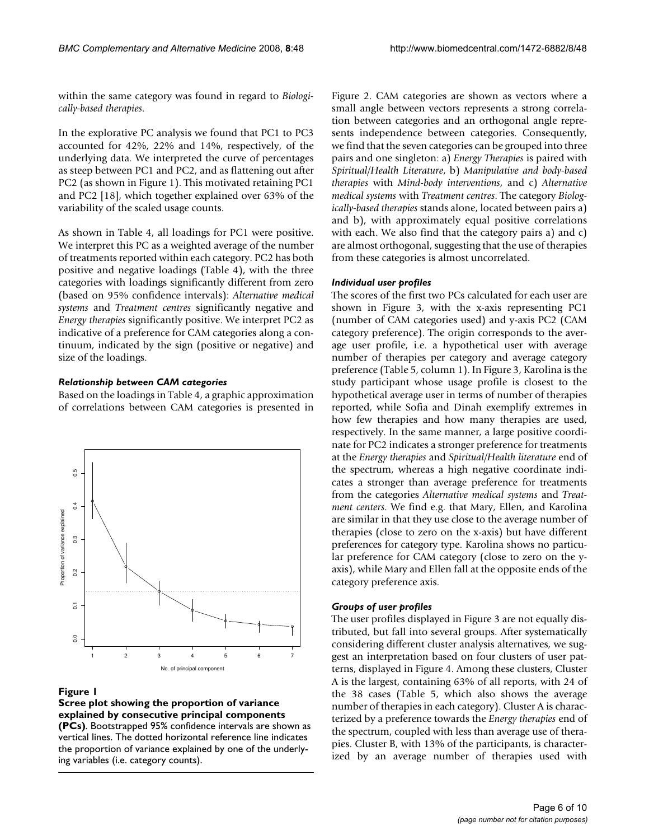within the same category was found in regard to *Biologically-based therapies*.

In the explorative PC analysis we found that PC1 to PC3 accounted for 42%, 22% and 14%, respectively, of the underlying data. We interpreted the curve of percentages as steep between PC1 and PC2, and as flattening out after PC2 (as shown in Figure 1). This motivated retaining PC1 and PC2 [18], which together explained over 63% of the variability of the scaled usage counts.

As shown in Table 4, all loadings for PC1 were positive. We interpret this PC as a weighted average of the number of treatments reported within each category. PC2 has both positive and negative loadings (Table 4), with the three categories with loadings significantly different from zero (based on 95% confidence intervals): *Alternative medical systems* and *Treatment centres* significantly negative and *Energy therapies* significantly positive. We interpret PC2 as indicative of a preference for CAM categories along a continuum, indicated by the sign (positive or negative) and size of the loadings.

### *Relationship between CAM categories*

Based on the loadings in Table 4, a graphic approximation of correlations between CAM categories is presented in



# Figure 1

#### **Scree plot showing the proportion of variance explained by consecutive principal components**

**(PCs)**. Bootstrapped 95% confidence intervals are shown as vertical lines. The dotted horizontal reference line indicates the proportion of variance explained by one of the underlying variables (i.e. category counts).

Figure 2. CAM categories are shown as vectors where a small angle between vectors represents a strong correlation between categories and an orthogonal angle represents independence between categories. Consequently, we find that the seven categories can be grouped into three pairs and one singleton: a) *Energy Therapies* is paired with *Spiritual/Health Literature*, b) *Manipulative and body-based therapies* with *Mind-body interventions*, and c) *Alternative medical systems* with *Treatment centres*. The category *Biologically-based therapies* stands alone, located between pairs a) and b), with approximately equal positive correlations with each. We also find that the category pairs a) and c) are almost orthogonal, suggesting that the use of therapies from these categories is almost uncorrelated.

# *Individual user profiles*

The scores of the first two PCs calculated for each user are shown in Figure 3, with the x-axis representing PC1 (number of CAM categories used) and y-axis PC2 (CAM category preference). The origin corresponds to the average user profile, i.e. a hypothetical user with average number of therapies per category and average category preference (Table 5, column 1). In Figure 3, Karolina is the study participant whose usage profile is closest to the hypothetical average user in terms of number of therapies reported, while Sofia and Dinah exemplify extremes in how few therapies and how many therapies are used, respectively. In the same manner, a large positive coordinate for PC2 indicates a stronger preference for treatments at the *Energy therapies* and *Spiritual/Health literature* end of the spectrum, whereas a high negative coordinate indicates a stronger than average preference for treatments from the categories *Alternative medical systems* and *Treatment centers*. We find e.g. that Mary, Ellen, and Karolina are similar in that they use close to the average number of therapies (close to zero on the x-axis) but have different preferences for category type. Karolina shows no particular preference for CAM category (close to zero on the yaxis), while Mary and Ellen fall at the opposite ends of the category preference axis.

# *Groups of user profiles*

The user profiles displayed in Figure 3 are not equally distributed, but fall into several groups. After systematically considering different cluster analysis alternatives, we suggest an interpretation based on four clusters of user patterns, displayed in Figure 4. Among these clusters, Cluster A is the largest, containing 63% of all reports, with 24 of the 38 cases (Table 5, which also shows the average number of therapies in each category). Cluster A is characterized by a preference towards the *Energy therapies* end of the spectrum, coupled with less than average use of therapies. Cluster B, with 13% of the participants, is characterized by an average number of therapies used with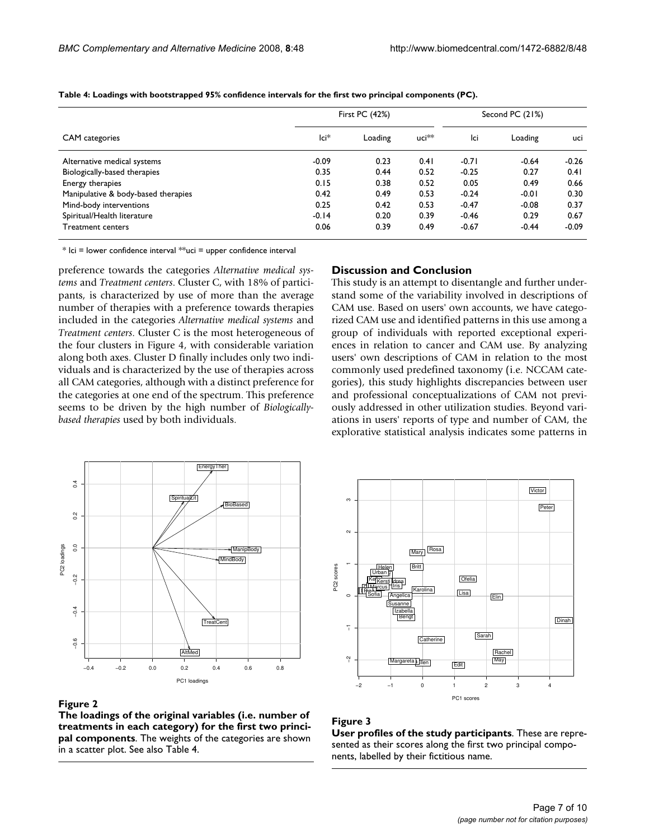|                                     | First PC (42%) |         |                    | Second PC (21%) |         |         |
|-------------------------------------|----------------|---------|--------------------|-----------------|---------|---------|
| CAM categories                      | lci*           | Loading | uci <sup>*</sup> * | lci             | Loading | uci     |
| Alternative medical systems         | $-0.09$        | 0.23    | 0.41               | $-0.71$         | $-0.64$ | $-0.26$ |
| Biologically-based therapies        | 0.35           | 0.44    | 0.52               | $-0.25$         | 0.27    | 0.41    |
| Energy therapies                    | 0.15           | 0.38    | 0.52               | 0.05            | 0.49    | 0.66    |
| Manipulative & body-based therapies | 0.42           | 0.49    | 0.53               | $-0.24$         | $-0.01$ | 0.30    |
| Mind-body interventions             | 0.25           | 0.42    | 0.53               | $-0.47$         | $-0.08$ | 0.37    |
| Spiritual/Health literature         | $-0.14$        | 0.20    | 0.39               | $-0.46$         | 0.29    | 0.67    |
| <b>Treatment centers</b>            | 0.06           | 0.39    | 0.49               | $-0.67$         | $-0.44$ | $-0.09$ |

**Table 4: Loadings with bootstrapped 95% confidence intervals for the first two principal components (PC).**

 $*$  lci = lower confidence interval  $**$ uci = upper confidence interval

preference towards the categories *Alternative medical systems* and *Treatment centers*. Cluster C, with 18% of participants, is characterized by use of more than the average number of therapies with a preference towards therapies included in the categories *Alternative medical systems* and *Treatment centers*. Cluster C is the most heterogeneous of the four clusters in Figure 4, with considerable variation along both axes. Cluster D finally includes only two individuals and is characterized by the use of therapies across all CAM categories, although with a distinct preference for the categories at one end of the spectrum. This preference seems to be driven by the high number of *Biologicallybased therapies* used by both individuals.

### **Discussion and Conclusion**

This study is an attempt to disentangle and further understand some of the variability involved in descriptions of CAM use. Based on users' own accounts, we have categorized CAM use and identified patterns in this use among a group of individuals with reported exceptional experiences in relation to cancer and CAM use. By analyzing users' own descriptions of CAM in relation to the most commonly used predefined taxonomy (i.e. NCCAM categories), this study highlights discrepancies between user and professional conceptualizations of CAM not previously addressed in other utilization studies. Beyond variations in users' reports of type and number of CAM, the explorative statistical analysis indicates some patterns in



#### Figure 2

**The loadings of the original variables (i.e. number of treatments in each category) for the first two principal components**. The weights of the categories are shown in a scatter plot. See also Table 4.



### **Figure 3**

**User profiles of the study participants**. These are represented as their scores along the first two principal components, labelled by their fictitious name.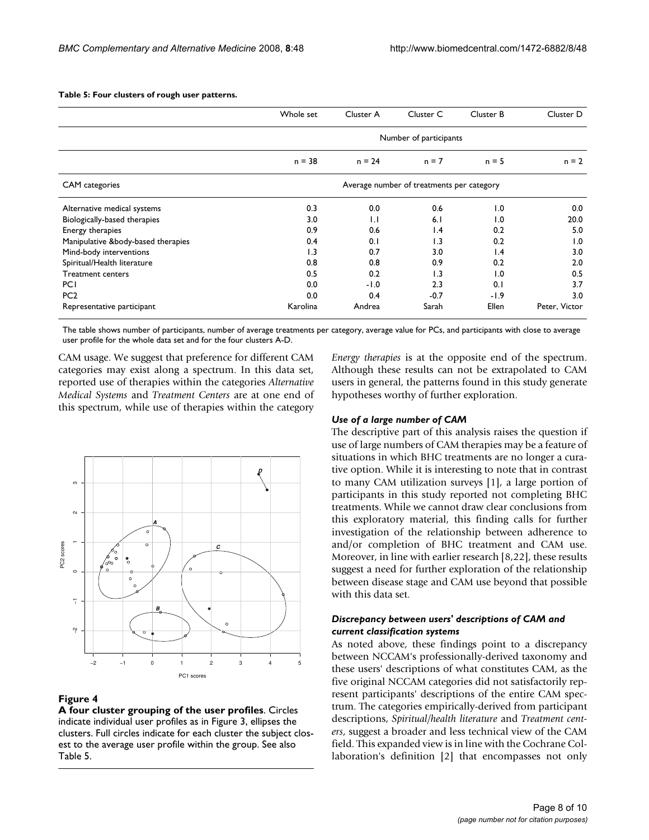|                                    | Whole set                                 | Cluster A        | Cluster C       | Cluster B        | Cluster D     |  |
|------------------------------------|-------------------------------------------|------------------|-----------------|------------------|---------------|--|
|                                    | Number of participants                    |                  |                 |                  |               |  |
|                                    | $n = 38$                                  | $n = 24$         | $n = 7$         | $n = 5$          | $n = 2$       |  |
| CAM categories                     | Average number of treatments per category |                  |                 |                  |               |  |
| Alternative medical systems        | 0.3                                       | 0.0              | 0.6             | $\overline{1.0}$ | 0.0           |  |
| Biologically-based therapies       | 3.0                                       | $\overline{1}$ . | 6.1             | 1.0              | 20.0          |  |
| Energy therapies                   | 0.9                                       | 0.6              | $\mathsf{I}$ .4 | 0.2              | 5.0           |  |
| Manipulative &body-based therapies | 0.4                                       | 0.1              | 1.3             | 0.2              | 1.0           |  |
| Mind-body interventions            | 1.3                                       | 0.7              | 3.0             | $\mathsf{I}$ .4  | 3.0           |  |
| Spiritual/Health literature        | 0.8                                       | 0.8              | 0.9             | 0.2              | 2.0           |  |
| <b>Treatment centers</b>           | 0.5                                       | 0.2              | 1.3             | 1.0              | 0.5           |  |
| PCI                                | 0.0                                       | $-1.0$           | 2.3             | 0.1              | 3.7           |  |
| PC <sub>2</sub>                    | 0.0                                       | 0.4              | $-0.7$          | $-1.9$           | 3.0           |  |
| Representative participant         | Karolina                                  | Andrea           | Sarah           | Ellen            | Peter, Victor |  |

#### **Table 5: Four clusters of rough user patterns.**

The table shows number of participants, number of average treatments per category, average value for PCs, and participants with close to average user profile for the whole data set and for the four clusters A-D.

CAM usage. We suggest that preference for different CAM categories may exist along a spectrum. In this data set, reported use of therapies within the categories *Alternative Medical Systems* and *Treatment Centers* are at one end of this spectrum, while use of therapies within the category



### **Figure 4**

**A four cluster grouping of the user profiles**. Circles indicate individual user profiles as in Figure 3, ellipses the clusters. Full circles indicate for each cluster the subject closest to the average user profile within the group. See also Table 5.

*Energy therapies* is at the opposite end of the spectrum. Although these results can not be extrapolated to CAM users in general, the patterns found in this study generate hypotheses worthy of further exploration.

### *Use of a large number of CAM*

The descriptive part of this analysis raises the question if use of large numbers of CAM therapies may be a feature of situations in which BHC treatments are no longer a curative option. While it is interesting to note that in contrast to many CAM utilization surveys [1], a large portion of participants in this study reported not completing BHC treatments. While we cannot draw clear conclusions from this exploratory material, this finding calls for further investigation of the relationship between adherence to and/or completion of BHC treatment and CAM use. Moreover, in line with earlier research [8,22], these results suggest a need for further exploration of the relationship between disease stage and CAM use beyond that possible with this data set.

# *Discrepancy between users' descriptions of CAM and current classification systems*

As noted above, these findings point to a discrepancy between NCCAM's professionally-derived taxonomy and these users' descriptions of what constitutes CAM, as the five original NCCAM categories did not satisfactorily represent participants' descriptions of the entire CAM spectrum. The categories empirically-derived from participant descriptions, *Spiritual/health literature* and *Treatment centers*, suggest a broader and less technical view of the CAM field. This expanded view is in line with the Cochrane Collaboration's definition [2] that encompasses not only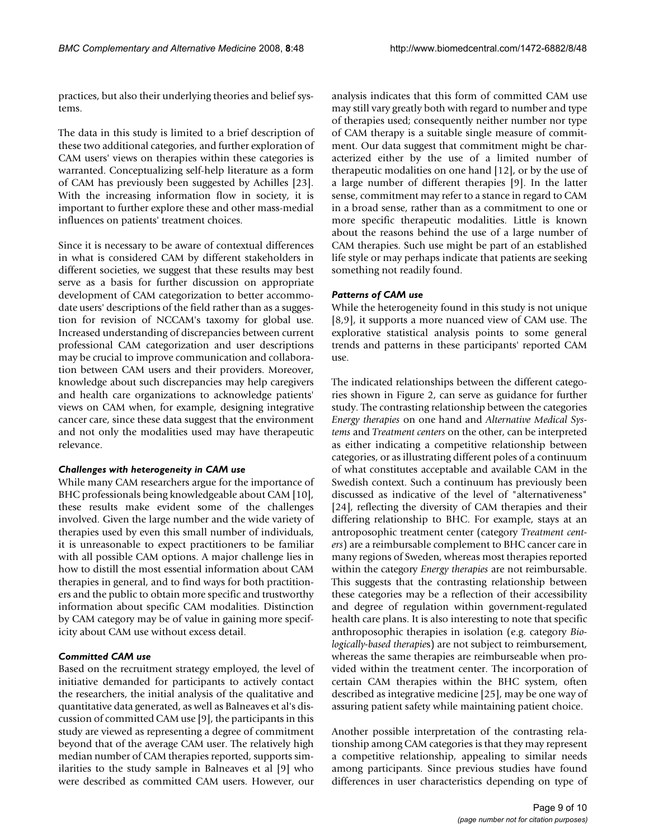practices, but also their underlying theories and belief systems.

The data in this study is limited to a brief description of these two additional categories, and further exploration of CAM users' views on therapies within these categories is warranted. Conceptualizing self-help literature as a form of CAM has previously been suggested by Achilles [23]. With the increasing information flow in society, it is important to further explore these and other mass-medial influences on patients' treatment choices.

Since it is necessary to be aware of contextual differences in what is considered CAM by different stakeholders in different societies, we suggest that these results may best serve as a basis for further discussion on appropriate development of CAM categorization to better accommodate users' descriptions of the field rather than as a suggestion for revision of NCCAM's taxomy for global use. Increased understanding of discrepancies between current professional CAM categorization and user descriptions may be crucial to improve communication and collaboration between CAM users and their providers. Moreover, knowledge about such discrepancies may help caregivers and health care organizations to acknowledge patients' views on CAM when, for example, designing integrative cancer care, since these data suggest that the environment and not only the modalities used may have therapeutic relevance.

# *Challenges with heterogeneity in CAM use*

While many CAM researchers argue for the importance of BHC professionals being knowledgeable about CAM [10], these results make evident some of the challenges involved. Given the large number and the wide variety of therapies used by even this small number of individuals, it is unreasonable to expect practitioners to be familiar with all possible CAM options. A major challenge lies in how to distill the most essential information about CAM therapies in general, and to find ways for both practitioners and the public to obtain more specific and trustworthy information about specific CAM modalities. Distinction by CAM category may be of value in gaining more specificity about CAM use without excess detail.

# *Committed CAM use*

Based on the recruitment strategy employed, the level of initiative demanded for participants to actively contact the researchers, the initial analysis of the qualitative and quantitative data generated, as well as Balneaves et al's discussion of committed CAM use [9], the participants in this study are viewed as representing a degree of commitment beyond that of the average CAM user. The relatively high median number of CAM therapies reported, supports similarities to the study sample in Balneaves et al [9] who were described as committed CAM users. However, our analysis indicates that this form of committed CAM use may still vary greatly both with regard to number and type of therapies used; consequently neither number nor type of CAM therapy is a suitable single measure of commitment. Our data suggest that commitment might be characterized either by the use of a limited number of therapeutic modalities on one hand [12], or by the use of a large number of different therapies [9]. In the latter sense, commitment may refer to a stance in regard to CAM in a broad sense, rather than as a commitment to one or more specific therapeutic modalities. Little is known about the reasons behind the use of a large number of CAM therapies. Such use might be part of an established life style or may perhaps indicate that patients are seeking something not readily found.

# *Patterns of CAM use*

While the heterogeneity found in this study is not unique [8,9], it supports a more nuanced view of CAM use. The explorative statistical analysis points to some general trends and patterns in these participants' reported CAM use.

The indicated relationships between the different categories shown in Figure 2, can serve as guidance for further study. The contrasting relationship between the categories *Energy therapies* on one hand and *Alternative Medical Systems* and *Treatment centers* on the other, can be interpreted as either indicating a competitive relationship between categories, or as illustrating different poles of a continuum of what constitutes acceptable and available CAM in the Swedish context. Such a continuum has previously been discussed as indicative of the level of "alternativeness" [24], reflecting the diversity of CAM therapies and their differing relationship to BHC. For example, stays at an antroposophic treatment center (category *Treatment centers*) are a reimbursable complement to BHC cancer care in many regions of Sweden, whereas most therapies reported within the category *Energy therapies* are not reimbursable. This suggests that the contrasting relationship between these categories may be a reflection of their accessibility and degree of regulation within government-regulated health care plans. It is also interesting to note that specific anthroposophic therapies in isolation (e.g. category *Biologically-based therapie*s) are not subject to reimbursement, whereas the same therapies are reimburseable when provided within the treatment center. The incorporation of certain CAM therapies within the BHC system, often described as integrative medicine [25], may be one way of assuring patient safety while maintaining patient choice.

Another possible interpretation of the contrasting relationship among CAM categories is that they may represent a competitive relationship, appealing to similar needs among participants. Since previous studies have found differences in user characteristics depending on type of